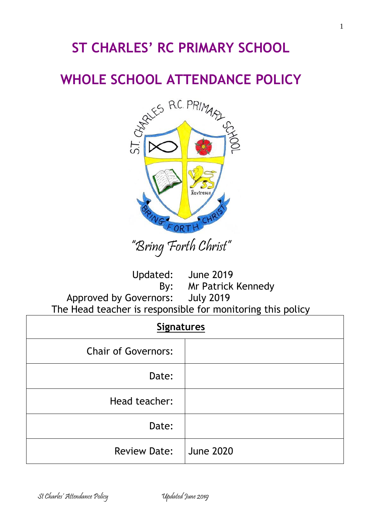# **ST CHARLES' RC PRIMARY SCHOOL**

# **WHOLE SCHOOL ATTENDANCE POLICY**



"Bring Forth Christ"

Updated: June 2019

By: Mr Patrick Kennedy

Approved by Governors: July 2019 The Head teacher is responsible for monitoring this policy

| <b>Signatures</b>          |                  |  |  |
|----------------------------|------------------|--|--|
| <b>Chair of Governors:</b> |                  |  |  |
| Date:                      |                  |  |  |
| Head teacher:              |                  |  |  |
| Date:                      |                  |  |  |
| <b>Review Date:</b>        | <b>June 2020</b> |  |  |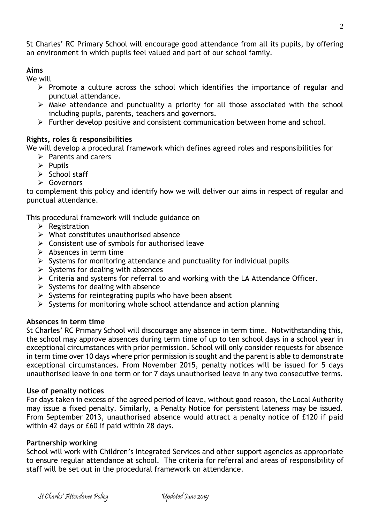2

St Charles' RC Primary School will encourage good attendance from all its pupils, by offering an environment in which pupils feel valued and part of our school family.

### **Aims**

We will

- ➢ Promote a culture across the school which identifies the importance of regular and punctual attendance.
- ➢ Make attendance and punctuality a priority for all those associated with the school including pupils, parents, teachers and governors.
- ➢ Further develop positive and consistent communication between home and school.

### **Rights, roles & responsibilities**

We will develop a procedural framework which defines agreed roles and responsibilities for

- ➢ Parents and carers
- ➢ Pupils
- ➢ School staff
- ➢ Governors

to complement this policy and identify how we will deliver our aims in respect of regular and punctual attendance.

This procedural framework will include guidance on

- $\triangleright$  Registration
- $\triangleright$  What constitutes unauthorised absence
- $\triangleright$  Consistent use of symbols for authorised leave
- $\triangleright$  Absences in term time
- $\triangleright$  Systems for monitoring attendance and punctuality for individual pupils
- $\triangleright$  Systems for dealing with absences
- ➢ Criteria and systems for referral to and working with the LA Attendance Officer.
- $\triangleright$  Systems for dealing with absence
- $\triangleright$  Systems for reintegrating pupils who have been absent
- $\triangleright$  Systems for monitoring whole school attendance and action planning

#### **Absences in term time**

St Charles' RC Primary School will discourage any absence in term time. Notwithstanding this, the school may approve absences during term time of up to ten school days in a school year in exceptional circumstances with prior permission. School will only consider requests for absence in term time over 10 days where prior permission is sought and the parent is able to demonstrate exceptional circumstances. From November 2015, penalty notices will be issued for 5 days unauthorised leave in one term or for 7 days unauthorised leave in any two consecutive terms.

#### **Use of penalty notices**

For days taken in excess of the agreed period of leave, without good reason, the Local Authority may issue a fixed penalty. Similarly, a Penalty Notice for persistent lateness may be issued. From September 2013, unauthorised absence would attract a penalty notice of £120 if paid within 42 days or £60 if paid within 28 days.

#### **Partnership working**

School will work with Children's Integrated Services and other support agencies as appropriate to ensure regular attendance at school. The criteria for referral and areas of responsibility of staff will be set out in the procedural framework on attendance.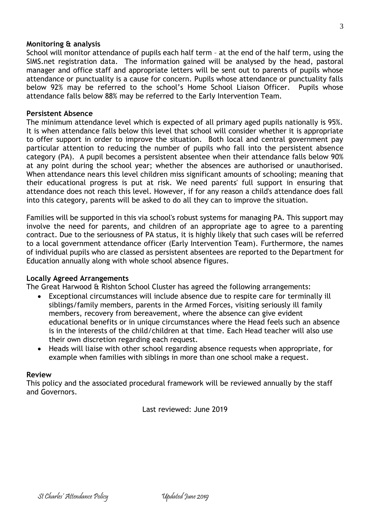#### **Monitoring & analysis**

School will monitor attendance of pupils each half term – at the end of the half term, using the SIMS.net registration data. The information gained will be analysed by the head, pastoral manager and office staff and appropriate letters will be sent out to parents of pupils whose attendance or punctuality is a cause for concern. Pupils whose attendance or punctuality falls below 92% may be referred to the school's Home School Liaison Officer. Pupils whose attendance falls below 88% may be referred to the Early Intervention Team.

#### **Persistent Absence**

The minimum attendance level which is expected of all primary aged pupils nationally is 95%. It is when attendance falls below this level that school will consider whether it is appropriate to offer support in order to improve the situation. Both local and central government pay particular attention to reducing the number of pupils who fall into the persistent absence category (PA). A pupil becomes a persistent absentee when their attendance falls below 90% at any point during the school year; whether the absences are authorised or unauthorised. When attendance nears this level children miss significant amounts of schooling; meaning that their educational progress is put at risk. We need parents' full support in ensuring that attendance does not reach this level. However, if for any reason a child's attendance does fall into this category, parents will be asked to do all they can to improve the situation.

Families will be supported in this via school's robust systems for managing PA. This support may involve the need for parents, and children of an appropriate age to agree to a parenting contract. Due to the seriousness of PA status, it is highly likely that such cases will be referred to a local government attendance officer (Early Intervention Team). Furthermore, the names of individual pupils who are classed as persistent absentees are reported to the Department for Education annually along with whole school absence figures.

#### **Locally Agreed Arrangements**

The Great Harwood & Rishton School Cluster has agreed the following arrangements:

- Exceptional circumstances will include absence due to respite care for terminally ill siblings/family members, parents in the Armed Forces, visiting seriously ill family members, recovery from bereavement, where the absence can give evident educational benefits or in unique circumstances where the Head feels such an absence is in the interests of the child/children at that time. Each Head teacher will also use their own discretion regarding each request.
- Heads will liaise with other school regarding absence requests when appropriate, for example when families with siblings in more than one school make a request.

#### **Review**

This policy and the associated procedural framework will be reviewed annually by the staff and Governors.

Last reviewed: June 2019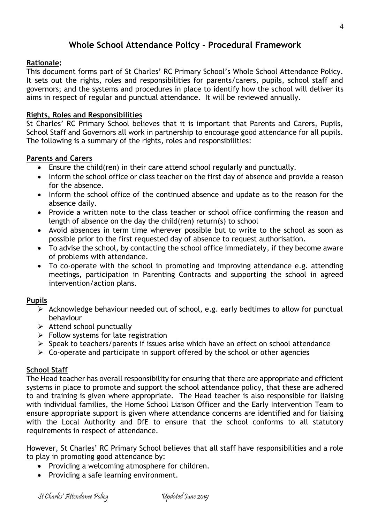# **Whole School Attendance Policy - Procedural Framework**

#### **Rationale:**

This document forms part of St Charles' RC Primary School's Whole School Attendance Policy. It sets out the rights, roles and responsibilities for parents/carers, pupils, school staff and governors; and the systems and procedures in place to identify how the school will deliver its aims in respect of regular and punctual attendance. It will be reviewed annually.

#### **Rights, Roles and Responsibilities**

St Charles' RC Primary School believes that it is important that Parents and Carers, Pupils, School Staff and Governors all work in partnership to encourage good attendance for all pupils. The following is a summary of the rights, roles and responsibilities:

#### **Parents and Carers**

- Ensure the child(ren) in their care attend school regularly and punctually.
- Inform the school office or class teacher on the first day of absence and provide a reason for the absence.
- Inform the school office of the continued absence and update as to the reason for the absence daily.
- Provide a written note to the class teacher or school office confirming the reason and length of absence on the day the child(ren) return(s) to school
- Avoid absences in term time wherever possible but to write to the school as soon as possible prior to the first requested day of absence to request authorisation.
- To advise the school, by contacting the school office immediately, if they become aware of problems with attendance.
- To co-operate with the school in promoting and improving attendance e.g. attending meetings, participation in Parenting Contracts and supporting the school in agreed intervention/action plans.

#### **Pupils**

- ➢ Acknowledge behaviour needed out of school, e.g. early bedtimes to allow for punctual behaviour
- $\triangleright$  Attend school punctually
- $\triangleright$  Follow systems for late registration
- ➢ Speak to teachers/parents if issues arise which have an effect on school attendance
- $\triangleright$  Co-operate and participate in support offered by the school or other agencies

#### **School Staff**

The Head teacher has overall responsibility for ensuring that there are appropriate and efficient systems in place to promote and support the school attendance policy, that these are adhered to and training is given where appropriate. The Head teacher is also responsible for liaising with individual families, the Home School Liaison Officer and the Early Intervention Team to ensure appropriate support is given where attendance concerns are identified and for liaising with the Local Authority and DfE to ensure that the school conforms to all statutory requirements in respect of attendance.

However, St Charles' RC Primary School believes that all staff have responsibilities and a role to play in promoting good attendance by:

- Providing a welcoming atmosphere for children.
- Providing a safe learning environment.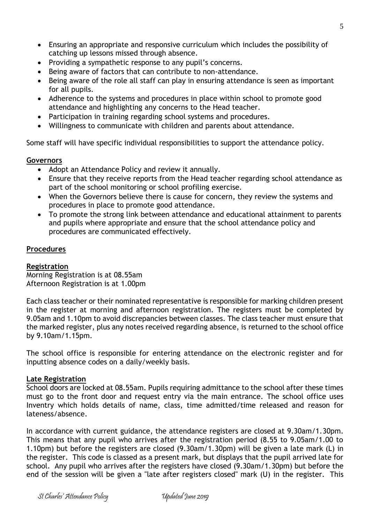- Ensuring an appropriate and responsive curriculum which includes the possibility of catching up lessons missed through absence.
- Providing a sympathetic response to any pupil's concerns.
- Being aware of factors that can contribute to non-attendance.
- Being aware of the role all staff can play in ensuring attendance is seen as important for all pupils.
- Adherence to the systems and procedures in place within school to promote good attendance and highlighting any concerns to the Head teacher.
- Participation in training regarding school systems and procedures.
- Willingness to communicate with children and parents about attendance.

Some staff will have specific individual responsibilities to support the attendance policy.

#### **Governors**

- Adopt an Attendance Policy and review it annually.
- Ensure that they receive reports from the Head teacher regarding school attendance as part of the school monitoring or school profiling exercise.
- When the Governors believe there is cause for concern, they review the systems and procedures in place to promote good attendance.
- To promote the strong link between attendance and educational attainment to parents and pupils where appropriate and ensure that the school attendance policy and procedures are communicated effectively.

#### **Procedures**

#### **Registration**

Morning Registration is at 08.55am Afternoon Registration is at 1.00pm

Each class teacher or their nominated representative is responsible for marking children present in the register at morning and afternoon registration. The registers must be completed by 9.05am and 1.10pm to avoid discrepancies between classes. The class teacher must ensure that the marked register, plus any notes received regarding absence, is returned to the school office by 9.10am/1.15pm.

The school office is responsible for entering attendance on the electronic register and for inputting absence codes on a daily/weekly basis.

#### **Late Registration**

School doors are locked at 08.55am. Pupils requiring admittance to the school after these times must go to the front door and request entry via the main entrance. The school office uses Inventry which holds details of name, class, time admitted/time released and reason for lateness/absence.

In accordance with current guidance, the attendance registers are closed at 9.30am/1.30pm. This means that any pupil who arrives after the registration period (8.55 to 9.05am/1.00 to 1.10pm) but before the registers are closed (9.30am/1.30pm) will be given a late mark (L) in the register. This code is classed as a present mark, but displays that the pupil arrived late for school. Any pupil who arrives after the registers have closed (9.30am/1.30pm) but before the end of the session will be given a "late after registers closed" mark (U) in the register. This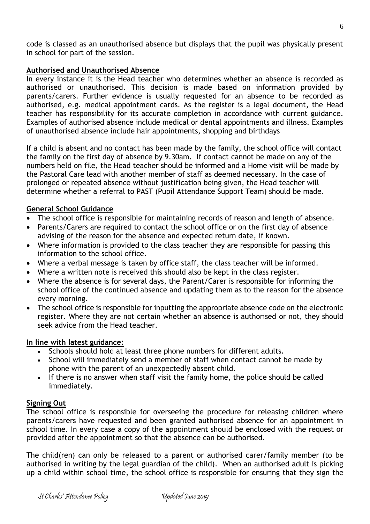code is classed as an unauthorised absence but displays that the pupil was physically present in school for part of the session.

#### **Authorised and Unauthorised Absence**

In every instance it is the Head teacher who determines whether an absence is recorded as authorised or unauthorised. This decision is made based on information provided by parents/carers. Further evidence is usually requested for an absence to be recorded as authorised, e.g. medical appointment cards. As the register is a legal document, the Head teacher has responsibility for its accurate completion in accordance with current guidance. Examples of authorised absence include medical or dental appointments and illness. Examples of unauthorised absence include hair appointments, shopping and birthdays

If a child is absent and no contact has been made by the family, the school office will contact the family on the first day of absence by 9.30am. If contact cannot be made on any of the numbers held on file, the Head teacher should be informed and a Home visit will be made by the Pastoral Care lead with another member of staff as deemed necessary. In the case of prolonged or repeated absence without justification being given, the Head teacher will determine whether a referral to PAST (Pupil Attendance Support Team) should be made.

#### **General School Guidance**

- The school office is responsible for maintaining records of reason and length of absence.
- Parents/Carers are required to contact the school office or on the first day of absence advising of the reason for the absence and expected return date, if known.
- Where information is provided to the class teacher they are responsible for passing this information to the school office.
- Where a verbal message is taken by office staff, the class teacher will be informed.
- Where a written note is received this should also be kept in the class register.
- Where the absence is for several days, the Parent/Carer is responsible for informing the school office of the continued absence and updating them as to the reason for the absence every morning.
- The school office is responsible for inputting the appropriate absence code on the electronic register. Where they are not certain whether an absence is authorised or not, they should seek advice from the Head teacher.

#### **In line with latest guidance:**

- Schools should hold at least three phone numbers for different adults.
- School will immediately send a member of staff when contact cannot be made by phone with the parent of an unexpectedly absent child.
- If there is no answer when staff visit the family home, the police should be called immediately.

#### **Signing Out**

The school office is responsible for overseeing the procedure for releasing children where parents/carers have requested and been granted authorised absence for an appointment in school time. In every case a copy of the appointment should be enclosed with the request or provided after the appointment so that the absence can be authorised.

The child(ren) can only be released to a parent or authorised carer/family member (to be authorised in writing by the legal guardian of the child). When an authorised adult is picking up a child within school time, the school office is responsible for ensuring that they sign the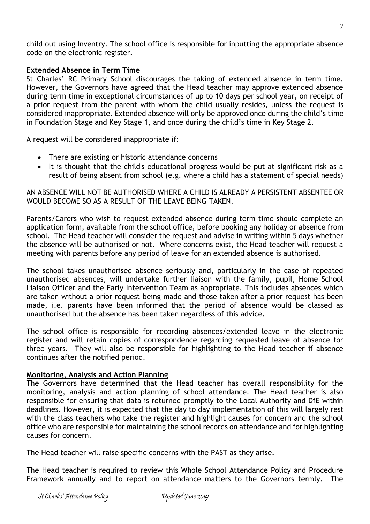child out using Inventry. The school office is responsible for inputting the appropriate absence code on the electronic register.

#### **Extended Absence in Term Time**

St Charles' RC Primary School discourages the taking of extended absence in term time. However, the Governors have agreed that the Head teacher may approve extended absence during term time in exceptional circumstances of up to 10 days per school year, on receipt of a prior request from the parent with whom the child usually resides, unless the request is considered inappropriate. Extended absence will only be approved once during the child's time in Foundation Stage and Key Stage 1, and once during the child's time in Key Stage 2.

A request will be considered inappropriate if:

- There are existing or historic attendance concerns
- It is thought that the child's educational progress would be put at significant risk as a result of being absent from school (e.g. where a child has a statement of special needs)

AN ABSENCE WILL NOT BE AUTHORISED WHERE A CHILD IS ALREADY A PERSISTENT ABSENTEE OR WOULD BECOME SO AS A RESULT OF THE LEAVE BEING TAKEN.

Parents/Carers who wish to request extended absence during term time should complete an application form, available from the school office, before booking any holiday or absence from school. The Head teacher will consider the request and advise in writing within 5 days whether the absence will be authorised or not. Where concerns exist, the Head teacher will request a meeting with parents before any period of leave for an extended absence is authorised.

The school takes unauthorised absence seriously and, particularly in the case of repeated unauthorised absences, will undertake further liaison with the family, pupil, Home School Liaison Officer and the Early Intervention Team as appropriate. This includes absences which are taken without a prior request being made and those taken after a prior request has been made, i.e. parents have been informed that the period of absence would be classed as unauthorised but the absence has been taken regardless of this advice.

The school office is responsible for recording absences/extended leave in the electronic register and will retain copies of correspondence regarding requested leave of absence for three years. They will also be responsible for highlighting to the Head teacher if absence continues after the notified period.

#### **Monitoring, Analysis and Action Planning**

The Governors have determined that the Head teacher has overall responsibility for the monitoring, analysis and action planning of school attendance. The Head teacher is also responsible for ensuring that data is returned promptly to the Local Authority and DfE within deadlines. However, it is expected that the day to day implementation of this will largely rest with the class teachers who take the register and highlight causes for concern and the school office who are responsible for maintaining the school records on attendance and for highlighting causes for concern.

The Head teacher will raise specific concerns with the PAST as they arise.

The Head teacher is required to review this Whole School Attendance Policy and Procedure Framework annually and to report on attendance matters to the Governors termly. The

7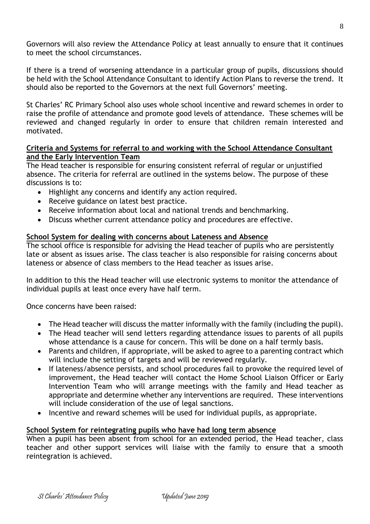Governors will also review the Attendance Policy at least annually to ensure that it continues to meet the school circumstances.

If there is a trend of worsening attendance in a particular group of pupils, discussions should be held with the School Attendance Consultant to identify Action Plans to reverse the trend. It should also be reported to the Governors at the next full Governors' meeting.

St Charles' RC Primary School also uses whole school incentive and reward schemes in order to raise the profile of attendance and promote good levels of attendance. These schemes will be reviewed and changed regularly in order to ensure that children remain interested and motivated.

#### **Criteria and Systems for referral to and working with the School Attendance Consultant and the Early Intervention Team**

The Head teacher is responsible for ensuring consistent referral of regular or unjustified absence. The criteria for referral are outlined in the systems below. The purpose of these discussions is to:

- Highlight any concerns and identify any action required.
- Receive guidance on latest best practice.
- Receive information about local and national trends and benchmarking.
- Discuss whether current attendance policy and procedures are effective.

#### **School System for dealing with concerns about Lateness and Absence**

The school office is responsible for advising the Head teacher of pupils who are persistently late or absent as issues arise. The class teacher is also responsible for raising concerns about lateness or absence of class members to the Head teacher as issues arise.

In addition to this the Head teacher will use electronic systems to monitor the attendance of individual pupils at least once every have half term.

Once concerns have been raised:

- The Head teacher will discuss the matter informally with the family (including the pupil).
- The Head teacher will send letters regarding attendance issues to parents of all pupils whose attendance is a cause for concern. This will be done on a half termly basis.
- Parents and children, if appropriate, will be asked to agree to a parenting contract which will include the setting of targets and will be reviewed regularly.
- If lateness/absence persists, and school procedures fail to provoke the required level of improvement, the Head teacher will contact the Home School Liaison Officer or Early Intervention Team who will arrange meetings with the family and Head teacher as appropriate and determine whether any interventions are required. These interventions will include consideration of the use of legal sanctions.
- Incentive and reward schemes will be used for individual pupils, as appropriate.

#### **School System for reintegrating pupils who have had long term absence**

When a pupil has been absent from school for an extended period, the Head teacher, class teacher and other support services will liaise with the family to ensure that a smooth reintegration is achieved.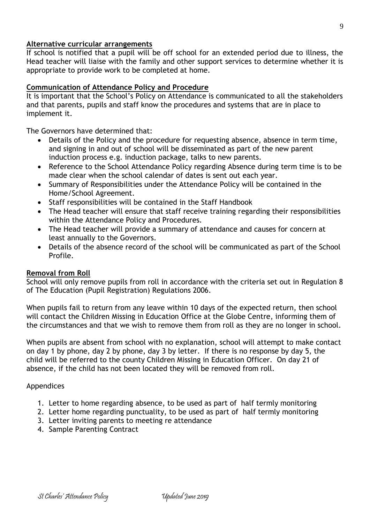#### **Alternative curricular arrangements**

If school is notified that a pupil will be off school for an extended period due to illness, the Head teacher will liaise with the family and other support services to determine whether it is appropriate to provide work to be completed at home.

#### **Communication of Attendance Policy and Procedure**

It is important that the School's Policy on Attendance is communicated to all the stakeholders and that parents, pupils and staff know the procedures and systems that are in place to implement it.

The Governors have determined that:

- Details of the Policy and the procedure for requesting absence, absence in term time, and signing in and out of school will be disseminated as part of the new parent induction process e.g. induction package, talks to new parents.
- Reference to the School Attendance Policy regarding Absence during term time is to be made clear when the school calendar of dates is sent out each year.
- Summary of Responsibilities under the Attendance Policy will be contained in the Home/School Agreement.
- Staff responsibilities will be contained in the Staff Handbook
- The Head teacher will ensure that staff receive training regarding their responsibilities within the Attendance Policy and Procedures.
- The Head teacher will provide a summary of attendance and causes for concern at least annually to the Governors.
- Details of the absence record of the school will be communicated as part of the School Profile.

#### **Removal from Roll**

School will only remove pupils from roll in accordance with the criteria set out in Regulation 8 of The Education (Pupil Registration) Regulations 2006.

When pupils fail to return from any leave within 10 days of the expected return, then school will contact the Children Missing in Education Office at the Globe Centre, informing them of the circumstances and that we wish to remove them from roll as they are no longer in school.

When pupils are absent from school with no explanation, school will attempt to make contact on day 1 by phone, day 2 by phone, day 3 by letter. If there is no response by day 5, the child will be referred to the county Children Missing in Education Officer. On day 21 of absence, if the child has not been located they will be removed from roll.

#### Appendices

- 1. Letter to home regarding absence, to be used as part of half termly monitoring
- 2. Letter home regarding punctuality, to be used as part of half termly monitoring
- 3. Letter inviting parents to meeting re attendance
- 4. Sample Parenting Contract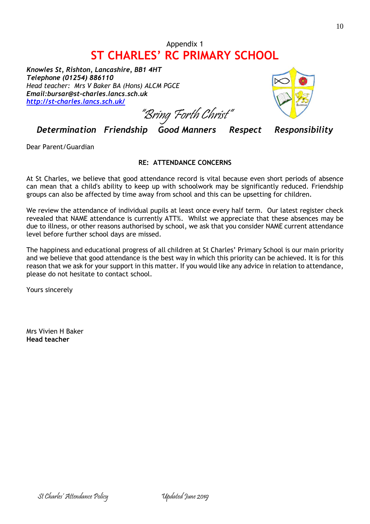# Appendix 1 **ST CHARLES' RC PRIMARY SCHOOL**

*Knowles St, Rishton, Lancashire, BB1 4HT Telephone (01254) 886110 Head teacher: Mrs V Baker BA (Hons) ALCM PGCE Email:bursar@st-charles.lancs.sch.uk <http://st-charles.lancs.sch.uk/>*



"Bring Forth Christ"

*Determination Friendship Good Manners Respect Responsibility*

Dear Parent/Guardian

#### **RE: ATTENDANCE CONCERNS**

At St Charles, we believe that good attendance record is vital because even short periods of absence can mean that a child's ability to keep up with schoolwork may be significantly reduced. Friendship groups can also be affected by time away from school and this can be upsetting for children.

We review the attendance of individual pupils at least once every half term. Our latest register check revealed that NAME attendance is currently ATT%. Whilst we appreciate that these absences may be due to illness, or other reasons authorised by school, we ask that you consider NAME current attendance level before further school days are missed.

The happiness and educational progress of all children at St Charles' Primary School is our main priority and we believe that good attendance is the best way in which this priority can be achieved. It is for this reason that we ask for your support in this matter. If you would like any advice in relation to attendance, please do not hesitate to contact school.

Yours sincerely

Mrs Vivien H Baker **Head teacher**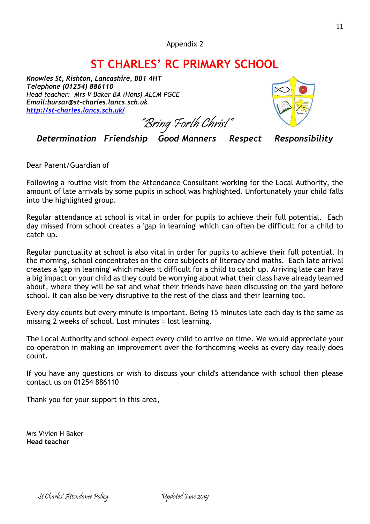# **ST CHARLES' RC PRIMARY SCHOOL**

*Knowles St, Rishton, Lancashire, BB1 4HT Telephone (01254) 886110 Head teacher: Mrs V Baker BA (Hons) ALCM PGCE Email:bursar@st-charles.lancs.sch.uk <http://st-charles.lancs.sch.uk/>*

"Bring Forth Christ"



*Determination Friendship Good Manners Respect Responsibility*

Dear Parent/Guardian of

Following a routine visit from the Attendance Consultant working for the Local Authority, the amount of late arrivals by some pupils in school was highlighted. Unfortunately your child falls into the highlighted group.

Regular attendance at school is vital in order for pupils to achieve their full potential. Each day missed from school creates a 'gap in learning' which can often be difficult for a child to catch up.

Regular punctuality at school is also vital in order for pupils to achieve their full potential. In the morning, school concentrates on the core subjects of literacy and maths. Each late arrival creates a 'gap in learning' which makes it difficult for a child to catch up. Arriving late can have a big impact on your child as they could be worrying about what their class have already learned about, where they will be sat and what their friends have been discussing on the yard before school. It can also be very disruptive to the rest of the class and their learning too.

Every day counts but every minute is important. Being 15 minutes late each day is the same as missing 2 weeks of school. Lost minutes = lost learning.

The Local Authority and school expect every child to arrive on time. We would appreciate your co-operation in making an improvement over the forthcoming weeks as every day really does count.

If you have any questions or wish to discuss your child's attendance with school then please contact us on 01254 886110

Thank you for your support in this area,

Mrs Vivien H Baker **Head teacher**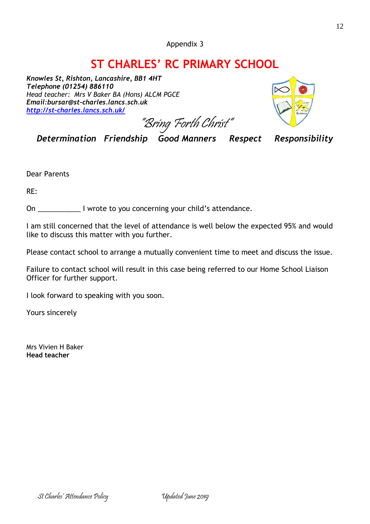Appendix 3

# **ST CHARLES' RC PRIMARY SCHOOL**

*Knowles St, Rishton, Lancashire, BB1 4HT Telephone (01254) 886110 Head teacher: Mrs V Baker BA (Hons) ALCM PGCE Email:bursar@st-charles.lancs.sch.uk <http://st-charles.lancs.sch.uk/>*

"Bring Forth Christ"



*Determination Friendship Good Manners Respect Responsibility*

Dear Parents

RE:

On \_\_\_\_\_\_\_\_\_\_\_ I wrote to you concerning your child's attendance.

I am still concerned that the level of attendance is well below the expected 95% and would like to discuss this matter with you further.

Please contact school to arrange a mutually convenient time to meet and discuss the issue.

Failure to contact school will result in this case being referred to our Home School Liaison Officer for further support.

I look forward to speaking with you soon.

Yours sincerely

Mrs Vivien H Baker **Head teacher**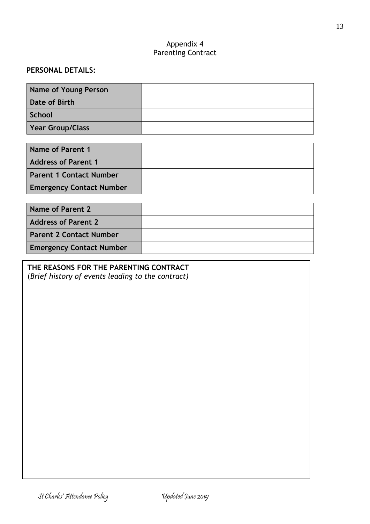#### Appendix 4 Parenting Contract

## **PERSONAL DETAILS:**

| <b>Name of Young Person</b> |  |
|-----------------------------|--|
| Date of Birth               |  |
| <b>School</b>               |  |
| <b>Year Group/Class</b>     |  |

| Name of Parent 1                |  |
|---------------------------------|--|
| <b>Address of Parent 1</b>      |  |
| <b>Parent 1 Contact Number</b>  |  |
| <b>Emergency Contact Number</b> |  |

| Name of Parent 2                |  |
|---------------------------------|--|
| <b>Address of Parent 2</b>      |  |
| <b>Parent 2 Contact Number</b>  |  |
| <b>Emergency Contact Number</b> |  |

## **THE REASONS FOR THE PARENTING CONTRACT**

(*Brief history of events leading to the contract)*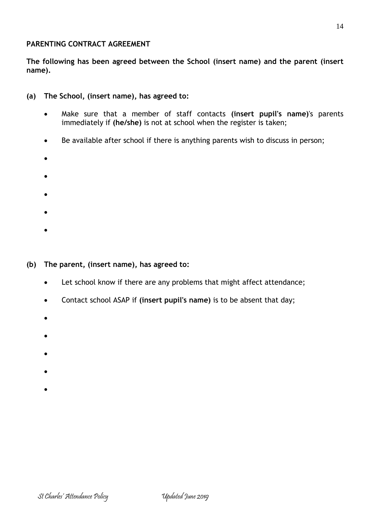#### **PARENTING CONTRACT AGREEMENT**

**The following has been agreed between the School (insert name) and the parent (insert name).**

- **(a) The School, (insert name), has agreed to:**
	- Make sure that a member of staff contacts **(insert pupil's name)**'s parents immediately if **(he/she)** is not at school when the register is taken;
	- Be available after school if there is anything parents wish to discuss in person;
	- •
	- •
	-
	- •
	- •
	- •
- **(b) The parent, (insert name), has agreed to:**
	- Let school know if there are any problems that might affect attendance;
	- Contact school ASAP if **(insert pupil's name)** is to be absent that day;
	- •
	-
	- •
	- •
	- •
	-
	- •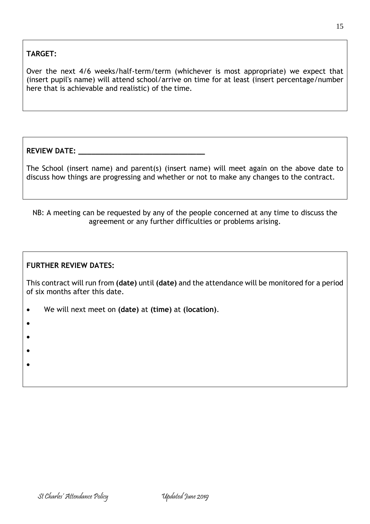# **TARGET:**

Over the next 4/6 weeks/half-term/term (whichever is most appropriate) we expect that (insert pupil's name) will attend school/arrive on time for at least (insert percentage/number here that is achievable and realistic) of the time.

**REVIEW DATE: \_\_\_\_\_\_\_\_\_\_\_\_\_\_\_\_\_\_\_\_\_\_\_\_\_\_\_\_\_**

The School (insert name) and parent(s) (insert name) will meet again on the above date to discuss how things are progressing and whether or not to make any changes to the contract.

NB: A meeting can be requested by any of the people concerned at any time to discuss the agreement or any further difficulties or problems arising.

#### **FURTHER REVIEW DATES:**

This contract will run from **(date)** until **(date)** and the attendance will be monitored for a period of six months after this date.

- We will next meet on **(date)** at **(time)** at **(location)**.
- •
- •
- 
- •
- •